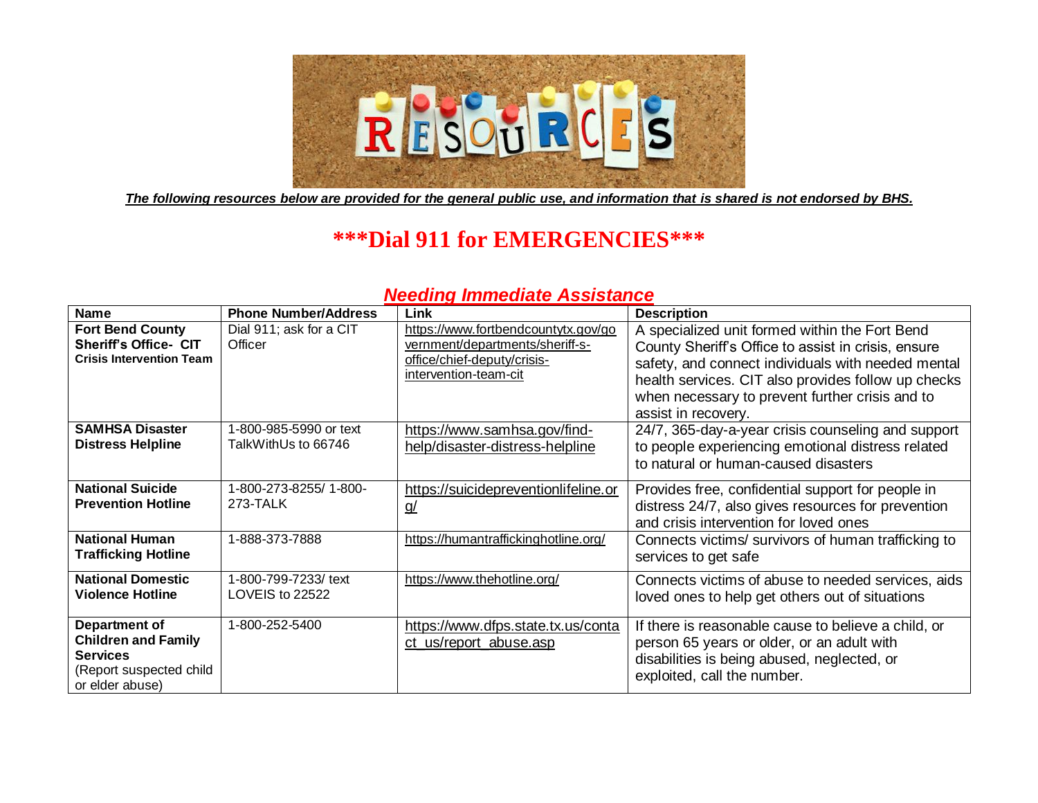

*The following resources below are provided for the general public use, and information that is shared is not endorsed by BHS.*

# **\*\*\*Dial 911 for EMERGENCIES\*\*\***

## *Needing Immediate Assistance*

| <b>Name</b>                                                                                                  | <b>Phone Number/Address</b>                   | Link                                                                                                                           | <b>Description</b>                                                                                                                                                                                                                                                                           |
|--------------------------------------------------------------------------------------------------------------|-----------------------------------------------|--------------------------------------------------------------------------------------------------------------------------------|----------------------------------------------------------------------------------------------------------------------------------------------------------------------------------------------------------------------------------------------------------------------------------------------|
| <b>Fort Bend County</b><br><b>Sheriff's Office- CIT</b><br><b>Crisis Intervention Team</b>                   | Dial 911; ask for a CIT<br>Officer            | https://www.fortbendcountytx.gov/go<br>vernment/departments/sheriff-s-<br>office/chief-deputy/crisis-<br>intervention-team-cit | A specialized unit formed within the Fort Bend<br>County Sheriff's Office to assist in crisis, ensure<br>safety, and connect individuals with needed mental<br>health services. CIT also provides follow up checks<br>when necessary to prevent further crisis and to<br>assist in recovery. |
| <b>SAMHSA Disaster</b><br><b>Distress Helpline</b>                                                           | 1-800-985-5990 or text<br>TalkWithUs to 66746 | https://www.samhsa.gov/find-<br>help/disaster-distress-helpline                                                                | 24/7, 365-day-a-year crisis counseling and support<br>to people experiencing emotional distress related<br>to natural or human-caused disasters                                                                                                                                              |
| <b>National Suicide</b><br><b>Prevention Hotline</b>                                                         | 1-800-273-8255/1-800-<br>273-TALK             | https://suicidepreventionlifeline.or<br><u>g/</u>                                                                              | Provides free, confidential support for people in<br>distress 24/7, also gives resources for prevention<br>and crisis intervention for loved ones                                                                                                                                            |
| <b>National Human</b><br><b>Trafficking Hotline</b>                                                          | 1-888-373-7888                                | https://humantraffickinghotline.org/                                                                                           | Connects victims/ survivors of human trafficking to<br>services to get safe                                                                                                                                                                                                                  |
| <b>National Domestic</b><br><b>Violence Hotline</b>                                                          | 1-800-799-7233/ text<br>LOVEIS to 22522       | https://www.thehotline.org/                                                                                                    | Connects victims of abuse to needed services, aids<br>loved ones to help get others out of situations                                                                                                                                                                                        |
| Department of<br><b>Children and Family</b><br><b>Services</b><br>(Report suspected child<br>or elder abuse) | 1-800-252-5400                                | https://www.dfps.state.tx.us/conta<br>ct_us/report_abuse.asp                                                                   | If there is reasonable cause to believe a child, or<br>person 65 years or older, or an adult with<br>disabilities is being abused, neglected, or<br>exploited, call the number.                                                                                                              |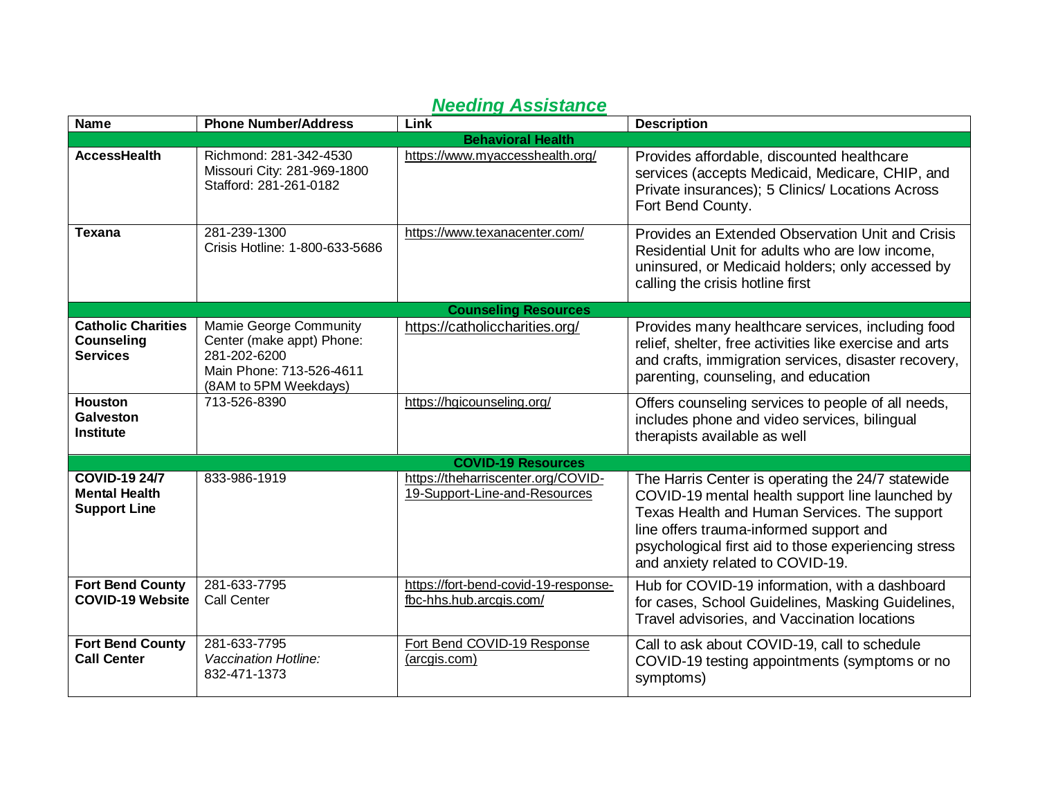| <b>Name</b>                                                         | <b>Phone Number/Address</b>                                                                                              | Link                                                                | <b>Description</b>                                                                                                                                                                                                                                                                          |  |  |
|---------------------------------------------------------------------|--------------------------------------------------------------------------------------------------------------------------|---------------------------------------------------------------------|---------------------------------------------------------------------------------------------------------------------------------------------------------------------------------------------------------------------------------------------------------------------------------------------|--|--|
| <b>Behavioral Health</b>                                            |                                                                                                                          |                                                                     |                                                                                                                                                                                                                                                                                             |  |  |
| <b>AccessHealth</b>                                                 | Richmond: 281-342-4530<br>Missouri City: 281-969-1800<br>Stafford: 281-261-0182                                          | https://www.myaccesshealth.org/                                     | Provides affordable, discounted healthcare<br>services (accepts Medicaid, Medicare, CHIP, and<br>Private insurances); 5 Clinics/ Locations Across<br>Fort Bend County.                                                                                                                      |  |  |
| Texana                                                              | 281-239-1300<br>Crisis Hotline: 1-800-633-5686                                                                           | https://www.texanacenter.com/                                       | Provides an Extended Observation Unit and Crisis<br>Residential Unit for adults who are low income,<br>uninsured, or Medicaid holders; only accessed by<br>calling the crisis hotline first                                                                                                 |  |  |
|                                                                     |                                                                                                                          | <b>Counseling Resources</b>                                         |                                                                                                                                                                                                                                                                                             |  |  |
| <b>Catholic Charities</b><br><b>Counseling</b><br><b>Services</b>   | Mamie George Community<br>Center (make appt) Phone:<br>281-202-6200<br>Main Phone: 713-526-4611<br>(8AM to 5PM Weekdays) | https://catholiccharities.org/                                      | Provides many healthcare services, including food<br>relief, shelter, free activities like exercise and arts<br>and crafts, immigration services, disaster recovery,<br>parenting, counseling, and education                                                                                |  |  |
| <b>Houston</b><br><b>Galveston</b><br><b>Institute</b>              | 713-526-8390                                                                                                             | https://hgicounseling.org/                                          | Offers counseling services to people of all needs,<br>includes phone and video services, bilingual<br>therapists available as well                                                                                                                                                          |  |  |
|                                                                     |                                                                                                                          | <b>COVID-19 Resources</b>                                           |                                                                                                                                                                                                                                                                                             |  |  |
| <b>COVID-19 24/7</b><br><b>Mental Health</b><br><b>Support Line</b> | 833-986-1919                                                                                                             | https://theharriscenter.org/COVID-<br>19-Support-Line-and-Resources | The Harris Center is operating the 24/7 statewide<br>COVID-19 mental health support line launched by<br>Texas Health and Human Services. The support<br>line offers trauma-informed support and<br>psychological first aid to those experiencing stress<br>and anxiety related to COVID-19. |  |  |
| <b>Fort Bend County</b><br><b>COVID-19 Website</b>                  | 281-633-7795<br><b>Call Center</b>                                                                                       | https://fort-bend-covid-19-response-<br>fbc-hhs.hub.arcgis.com/     | Hub for COVID-19 information, with a dashboard<br>for cases, School Guidelines, Masking Guidelines,<br>Travel advisories, and Vaccination locations                                                                                                                                         |  |  |
| <b>Fort Bend County</b><br><b>Call Center</b>                       | 281-633-7795<br><b>Vaccination Hotline:</b><br>832-471-1373                                                              | Fort Bend COVID-19 Response<br>(arcgis.com)                         | Call to ask about COVID-19, call to schedule<br>COVID-19 testing appointments (symptoms or no<br>symptoms)                                                                                                                                                                                  |  |  |

## *Needing Assistance*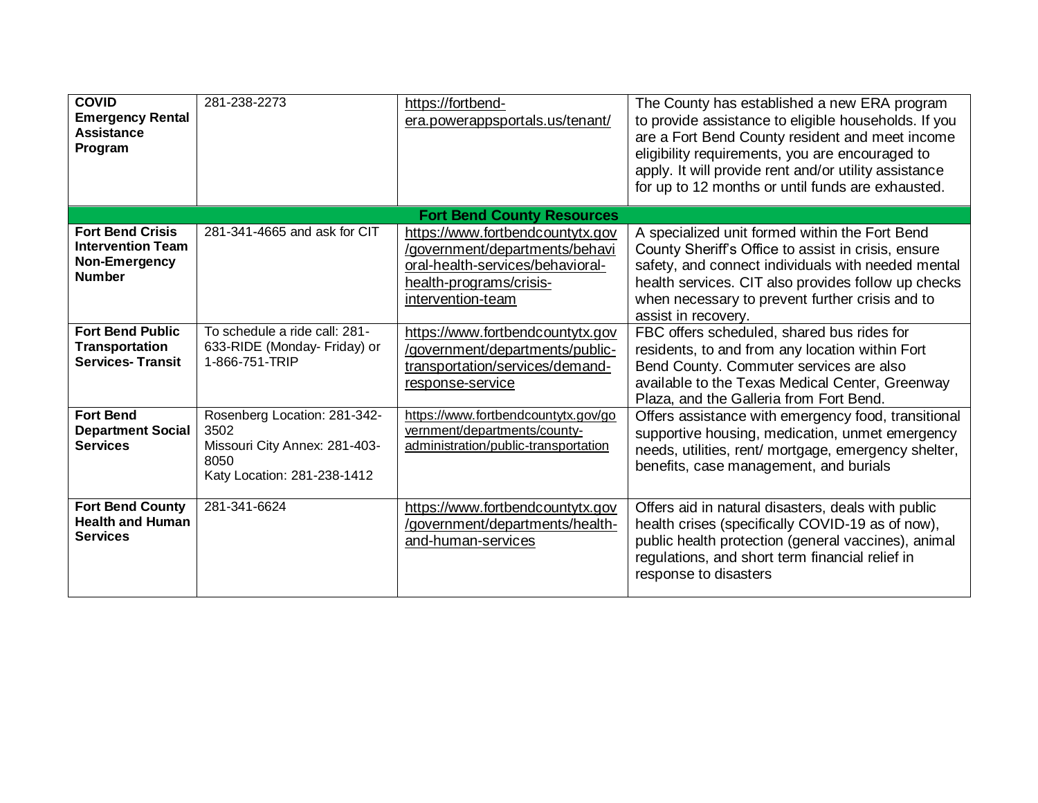| <b>COVID</b><br><b>Emergency Rental</b><br><b>Assistance</b><br>Program               | 281-238-2273                                                                                                 | https://fortbend-<br>era.powerappsportals.us/tenant/                                                                                                   | The County has established a new ERA program<br>to provide assistance to eligible households. If you<br>are a Fort Bend County resident and meet income<br>eligibility requirements, you are encouraged to<br>apply. It will provide rent and/or utility assistance<br>for up to 12 months or until funds are exhausted. |  |  |
|---------------------------------------------------------------------------------------|--------------------------------------------------------------------------------------------------------------|--------------------------------------------------------------------------------------------------------------------------------------------------------|--------------------------------------------------------------------------------------------------------------------------------------------------------------------------------------------------------------------------------------------------------------------------------------------------------------------------|--|--|
|                                                                                       |                                                                                                              | <b>Fort Bend County Resources</b>                                                                                                                      |                                                                                                                                                                                                                                                                                                                          |  |  |
| <b>Fort Bend Crisis</b><br><b>Intervention Team</b><br>Non-Emergency<br><b>Number</b> | 281-341-4665 and ask for CIT                                                                                 | https://www.fortbendcountytx.gov<br>/government/departments/behavi<br>oral-health-services/behavioral-<br>health-programs/crisis-<br>intervention-team | A specialized unit formed within the Fort Bend<br>County Sheriff's Office to assist in crisis, ensure<br>safety, and connect individuals with needed mental<br>health services. CIT also provides follow up checks<br>when necessary to prevent further crisis and to<br>assist in recovery.                             |  |  |
| <b>Fort Bend Public</b><br><b>Transportation</b><br><b>Services-Transit</b>           | To schedule a ride call: 281-<br>633-RIDE (Monday- Friday) or<br>1-866-751-TRIP                              | https://www.fortbendcountytx.gov<br>/government/departments/public-<br>transportation/services/demand-<br>response-service                             | FBC offers scheduled, shared bus rides for<br>residents, to and from any location within Fort<br>Bend County. Commuter services are also<br>available to the Texas Medical Center, Greenway<br>Plaza, and the Galleria from Fort Bend.                                                                                   |  |  |
| <b>Fort Bend</b><br><b>Department Social</b><br><b>Services</b>                       | Rosenberg Location: 281-342-<br>3502<br>Missouri City Annex: 281-403-<br>8050<br>Katy Location: 281-238-1412 | https://www.fortbendcountytx.gov/go<br>vernment/departments/county-<br>administration/public-transportation                                            | Offers assistance with emergency food, transitional<br>supportive housing, medication, unmet emergency<br>needs, utilities, rent/ mortgage, emergency shelter,<br>benefits, case management, and burials                                                                                                                 |  |  |
| <b>Fort Bend County</b><br><b>Health and Human</b><br><b>Services</b>                 | 281-341-6624                                                                                                 | https://www.fortbendcountytx.gov<br>/government/departments/health-<br>and-human-services                                                              | Offers aid in natural disasters, deals with public<br>health crises (specifically COVID-19 as of now),<br>public health protection (general vaccines), animal<br>regulations, and short term financial relief in<br>response to disasters                                                                                |  |  |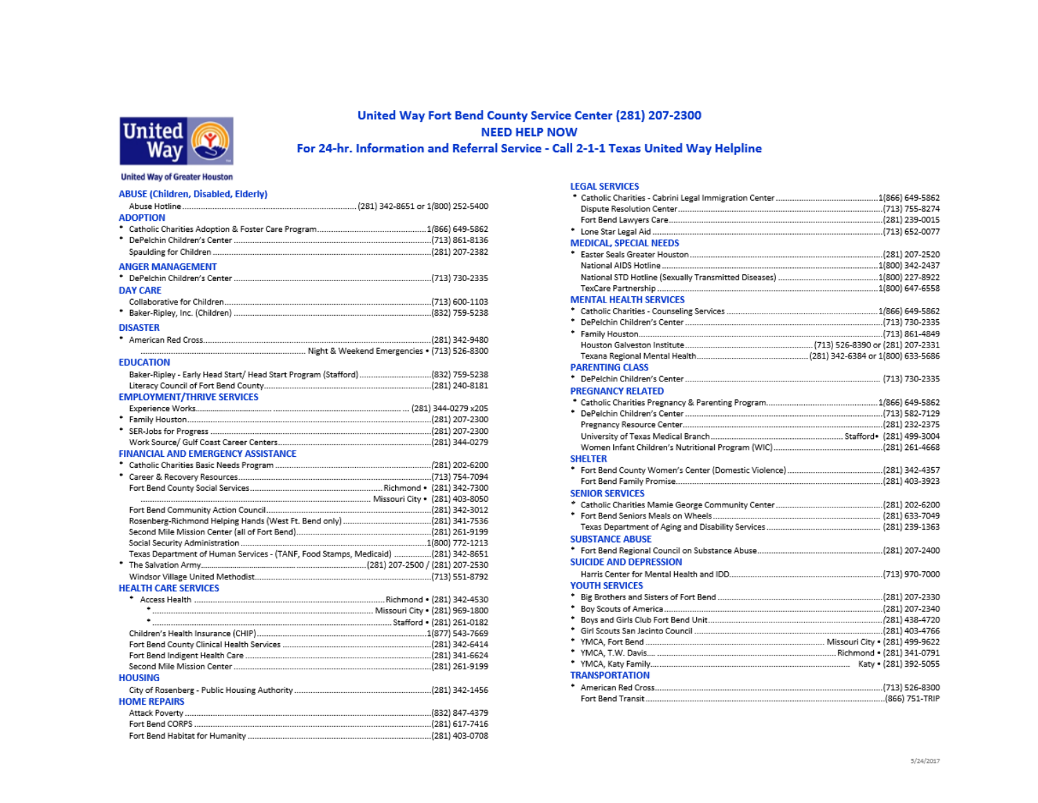

### United Way Fort Bend County Service Center (281) 207-2300 **NEED HELP NOW** For 24-hr. Information and Referral Service - Call 2-1-1 Texas United Way Helpline

#### **United Way of Greater Houston**

| <b>ABUSE (Children, Disabled, Elderly)</b>                                        |  |
|-----------------------------------------------------------------------------------|--|
|                                                                                   |  |
| <b>ADOPTION</b>                                                                   |  |
|                                                                                   |  |
|                                                                                   |  |
|                                                                                   |  |
| <b>ANGER MANAGEMENT</b>                                                           |  |
|                                                                                   |  |
| <b>DAY CARE</b>                                                                   |  |
|                                                                                   |  |
|                                                                                   |  |
|                                                                                   |  |
| <b>DISASTER</b>                                                                   |  |
|                                                                                   |  |
|                                                                                   |  |
| <b>EDUCATION</b>                                                                  |  |
| Baker-Ripley - Early Head Start/ Head Start Program (Stafford)(832) 759-5238      |  |
|                                                                                   |  |
| <b>EMPLOYMENT/THRIVE SERVICES</b>                                                 |  |
|                                                                                   |  |
|                                                                                   |  |
|                                                                                   |  |
|                                                                                   |  |
| <b>FINANCIAL AND EMERGENCY ASSISTANCE</b>                                         |  |
|                                                                                   |  |
|                                                                                   |  |
|                                                                                   |  |
|                                                                                   |  |
|                                                                                   |  |
|                                                                                   |  |
|                                                                                   |  |
|                                                                                   |  |
| Texas Department of Human Services - (TANF, Food Stamps, Medicaid) (281) 342-8651 |  |
|                                                                                   |  |
|                                                                                   |  |
| <b>HEALTH CARE SERVICES</b>                                                       |  |
|                                                                                   |  |
|                                                                                   |  |
|                                                                                   |  |
|                                                                                   |  |
|                                                                                   |  |
|                                                                                   |  |
| 281) 261-9199 (281) 261-9199 (281) 261-9199 (281) 261-9199 (281) 261-9199         |  |
| <b>HOUSING</b>                                                                    |  |
|                                                                                   |  |
| <b>HOME REPAIRS</b>                                                               |  |
|                                                                                   |  |
|                                                                                   |  |
|                                                                                   |  |

| <b>LEGAL SERVICES</b>         |  |
|-------------------------------|--|
|                               |  |
|                               |  |
|                               |  |
|                               |  |
| <b>MEDICAL, SPECIAL NEEDS</b> |  |
|                               |  |
|                               |  |
|                               |  |
|                               |  |
| <b>MENTAL HEALTH SERVICES</b> |  |
|                               |  |
|                               |  |
|                               |  |
|                               |  |
|                               |  |
| <b>PARENTING CLASS</b>        |  |
|                               |  |
| <b>PREGNANCY RELATED</b>      |  |
|                               |  |
|                               |  |
|                               |  |
|                               |  |
|                               |  |
| <b>SHELTER</b>                |  |
|                               |  |
|                               |  |
| <b>SENIOR SERVICES</b>        |  |
|                               |  |
|                               |  |
|                               |  |
| <b>SUBSTANCE ABUSE</b>        |  |
|                               |  |
| <b>SUICIDE AND DEPRESSION</b> |  |
|                               |  |
| <b>YOUTH SERVICES</b>         |  |
|                               |  |
|                               |  |
|                               |  |
|                               |  |
|                               |  |
|                               |  |
|                               |  |
| <b>TRANSPORTATION</b>         |  |
| ٠                             |  |
|                               |  |
|                               |  |